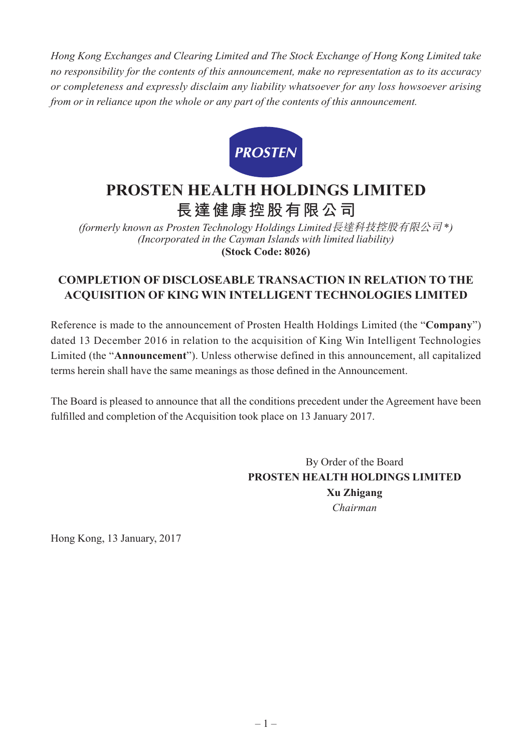*Hong Kong Exchanges and Clearing Limited and The Stock Exchange of Hong Kong Limited take no responsibility for the contents of this announcement, make no representation as to its accuracy or completeness and expressly disclaim any liability whatsoever for any loss howsoever arising from or in reliance upon the whole or any part of the contents of this announcement.*



## **PROSTEN HEALTH HOLDINGS LIMITED 長達健康控股有限公司**

*(formerly known as Prosten Technology Holdings Limited*長達科技控股有限公司 \**) (Incorporated in the Cayman Islands with limited liability)* **(Stock Code: 8026)**

## **COMPLETION OF DISCLOSEABLE TRANSACTION IN RELATION TO THE ACQUISITION OF KING WIN INTELLIGENT TECHNOLOGIES LIMITED**

Reference is made to the announcement of Prosten Health Holdings Limited (the "**Company**") dated 13 December 2016 in relation to the acquisition of King Win Intelligent Technologies Limited (the "**Announcement**"). Unless otherwise defined in this announcement, all capitalized terms herein shall have the same meanings as those defined in the Announcement.

The Board is pleased to announce that all the conditions precedent under the Agreement have been fulfilled and completion of the Acquisition took place on 13 January 2017.

> By Order of the Board **PROSTEN HEALTH HOLDINGS LIMITED Xu Zhigang** *Chairman*

Hong Kong, 13 January, 2017